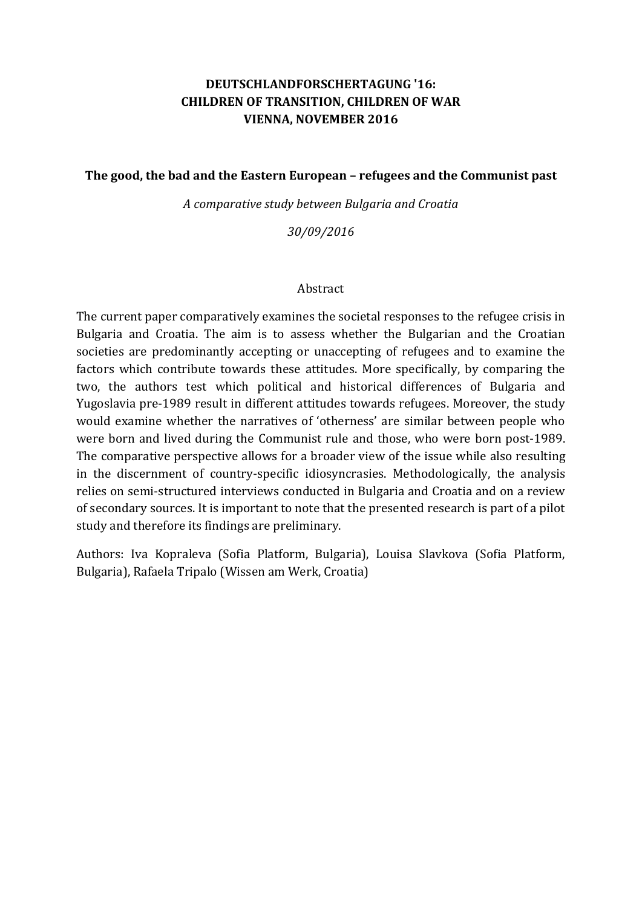# **DEUTSCHLANDFORSCHERTAGUNG '16: CHILDREN OF TRANSITION, CHILDREN OF WAR VIENNA, NOVEMBER 2016**

#### **The good, the bad and the Eastern European – refugees and the Communist past**

*A comparative study between Bulgaria and Croatia*

*30/09/2016*

#### Abstract

The current paper comparatively examines the societal responses to the refugee crisis in Bulgaria and Croatia. The aim is to assess whether the Bulgarian and the Croatian societies are predominantly accepting or unaccepting of refugees and to examine the factors which contribute towards these attitudes. More specifically, by comparing the two, the authors test which political and historical differences of Bulgaria and Yugoslavia pre-1989 result in different attitudes towards refugees. Moreover, the study would examine whether the narratives of 'otherness' are similar between people who were born and lived during the Communist rule and those, who were born post-1989. The comparative perspective allows for a broader view of the issue while also resulting in the discernment of country-specific idiosyncrasies. Methodologically, the analysis relies on semi-structured interviews conducted in Bulgaria and Croatia and on a review of secondary sources. It is important to note that the presented research is part of a pilot study and therefore its findings are preliminary.

Authors: Iva Kopraleva (Sofia Platform, Bulgaria), Louisa Slavkova (Sofia Platform, Bulgaria), Rafaela Tripalo (Wissen am Werk, Croatia)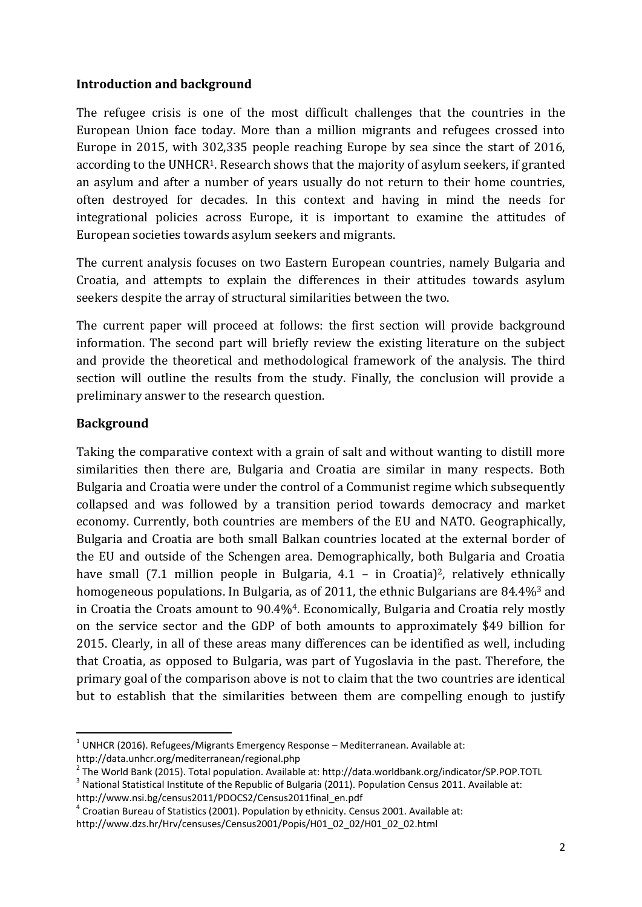#### **Introduction and background**

The refugee crisis is one of the most difficult challenges that the countries in the European Union face today. More than a million migrants and refugees crossed into Europe in 2015, with 302,335 people reaching Europe by sea since the start of 2016, according to the UNHCR1. Research shows that the majority of asylum seekers, if granted an asylum and after a number of years usually do not return to their home countries, often destroyed for decades. In this context and having in mind the needs for integrational policies across Europe, it is important to examine the attitudes of European societies towards asylum seekers and migrants.

The current analysis focuses on two Eastern European countries, namely Bulgaria and Croatia, and attempts to explain the differences in their attitudes towards asylum seekers despite the array of structural similarities between the two.

The current paper will proceed at follows: the first section will provide background information. The second part will briefly review the existing literature on the subject and provide the theoretical and methodological framework of the analysis. The third section will outline the results from the study. Finally, the conclusion will provide a preliminary answer to the research question.

# **Background**

Taking the comparative context with a grain of salt and without wanting to distill more similarities then there are, Bulgaria and Croatia are similar in many respects. Both Bulgaria and Croatia were under the control of a Communist regime which subsequently collapsed and was followed by a transition period towards democracy and market economy. Currently, both countries are members of the EU and NATO. Geographically, Bulgaria and Croatia are both small Balkan countries located at the external border of the EU and outside of the Schengen area. Demographically, both Bulgaria and Croatia have small (7.1 million people in Bulgaria, 4.1 – in Croatia)<sup>2</sup>, relatively ethnically homogeneous populations. In Bulgaria, as of 2011, the ethnic Bulgarians are 84.4%<sup>3</sup> and in Croatia the Croats amount to 90.4%4. Economically, Bulgaria and Croatia rely mostly on the service sector and the GDP of both amounts to approximately \$49 billion for 2015. Clearly, in all of these areas many differences can be identified as well, including that Croatia, as opposed to Bulgaria, was part of Yugoslavia in the past. Therefore, the primary goal of the comparison above is not to claim that the two countries are identical but to establish that the similarities between them are compelling enough to justify

**<sup>.</sup>**  $1$  UNHCR (2016). Refugees/Migrants Emergency Response – Mediterranean. Available at: http://data.unhcr.org/mediterranean/regional.php

<sup>&</sup>lt;sup>2</sup> The World Bank (2015). Total population. Available at: http://data.worldbank.org/indicator/SP.POP.TOTL

<sup>&</sup>lt;sup>3</sup> National Statistical Institute of the Republic of Bulgaria (2011). Population Census 2011. Available at: http://www.nsi.bg/census2011/PDOCS2/Census2011final\_en.pdf

 $<sup>4</sup>$  Croatian Bureau of Statistics (2001). Population by ethnicity. Census 2001. Available at:</sup> http://www.dzs.hr/Hrv/censuses/Census2001/Popis/H01\_02\_02/H01\_02\_02.html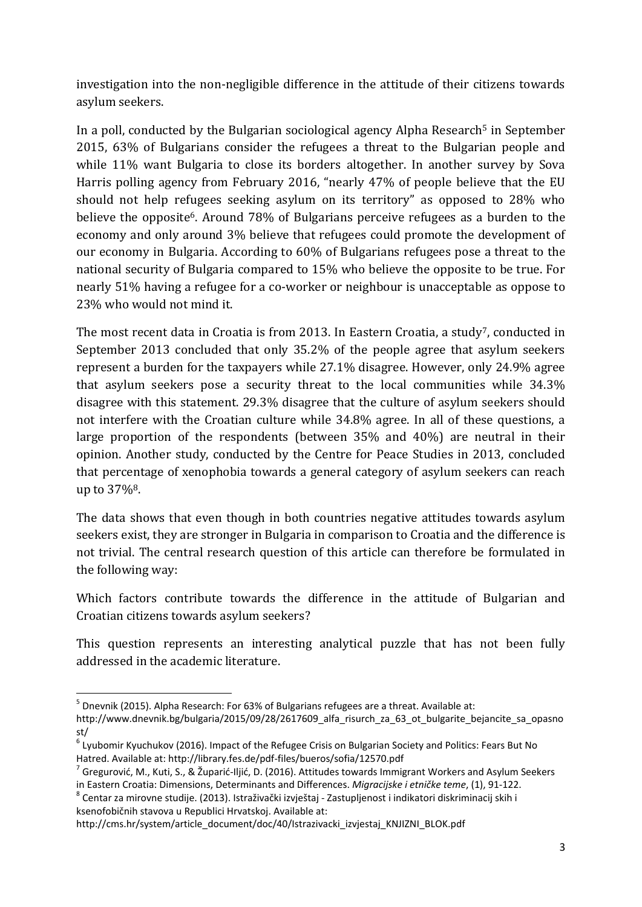investigation into the non-negligible difference in the attitude of their citizens towards asylum seekers.

In a poll, conducted by the Bulgarian sociological agency Alpha Research<sup>5</sup> in September 2015, 63% of Bulgarians consider the refugees a threat to the Bulgarian people and while 11% want Bulgaria to close its borders altogether. In another survey by Sova Harris polling agency from February 2016, "nearly 47% of people believe that the EU should not help refugees seeking asylum on its territory" as opposed to 28% who believe the opposite<sup>6</sup>. Around 78% of Bulgarians perceive refugees as a burden to the economy and only around 3% believe that refugees could promote the development of our economy in Bulgaria. According to 60% of Bulgarians refugees pose a threat to the national security of Bulgaria compared to 15% who believe the opposite to be true. For nearly 51% having a refugee for a co-worker or neighbour is unacceptable as oppose to 23% who would not mind it.

The most recent data in Croatia is from 2013. In Eastern Croatia, a study<sup>7</sup>, conducted in September 2013 concluded that only 35.2% of the people agree that asylum seekers represent a burden for the taxpayers while 27.1% disagree. However, only 24.9% agree that asylum seekers pose a security threat to the local communities while 34.3% disagree with this statement. 29.3% disagree that the culture of asylum seekers should not interfere with the Croatian culture while 34.8% agree. In all of these questions, a large proportion of the respondents (between 35% and 40%) are neutral in their opinion. Another study, conducted by the Centre for Peace Studies in 2013, concluded that percentage of xenophobia towards a general category of asylum seekers can reach up to 37%8.

The data shows that even though in both countries negative attitudes towards asylum seekers exist, they are stronger in Bulgaria in comparison to Croatia and the difference is not trivial. The central research question of this article can therefore be formulated in the following way:

Which factors contribute towards the difference in the attitude of Bulgarian and Croatian citizens towards asylum seekers?

This question represents an interesting analytical puzzle that has not been fully addressed in the academic literature.

<sup>8</sup> Centar za mirovne studije. (2013). Istraživački izvještaj - Zastupljenost i indikatori diskriminacij skih i ksenofobičnih stavova u Republici Hrvatskoj. Available at:

http://cms.hr/system/article\_document/doc/40/Istrazivacki\_izvjestaj\_KNJIZNI\_BLOK.pdf

**<sup>.</sup>** <sup>5</sup> Dnevnik (2015). Alpha Research: For 63% of Bulgarians refugees are a threat. Available at:

http://www.dnevnik.bg/bulgaria/2015/09/28/2617609 alfa risurch za 63 ot bulgarite bejancite sa opasno st/

<sup>6</sup> Lyubomir Kyuchukov (2016). Impact of the Refugee Crisis on Bulgarian Society and Politics: Fears But No Hatred. Available at: http://library.fes.de/pdf-files/bueros/sofia/12570.pdf

 $^7$  Gregurović, M., Kuti, S., & Župarić-Iljić, D. (2016). Attitudes towards Immigrant Workers and Asylum Seekers in Eastern Croatia: Dimensions, Determinants and Differences. *Migracijske i etničke teme*, (1), 91-122.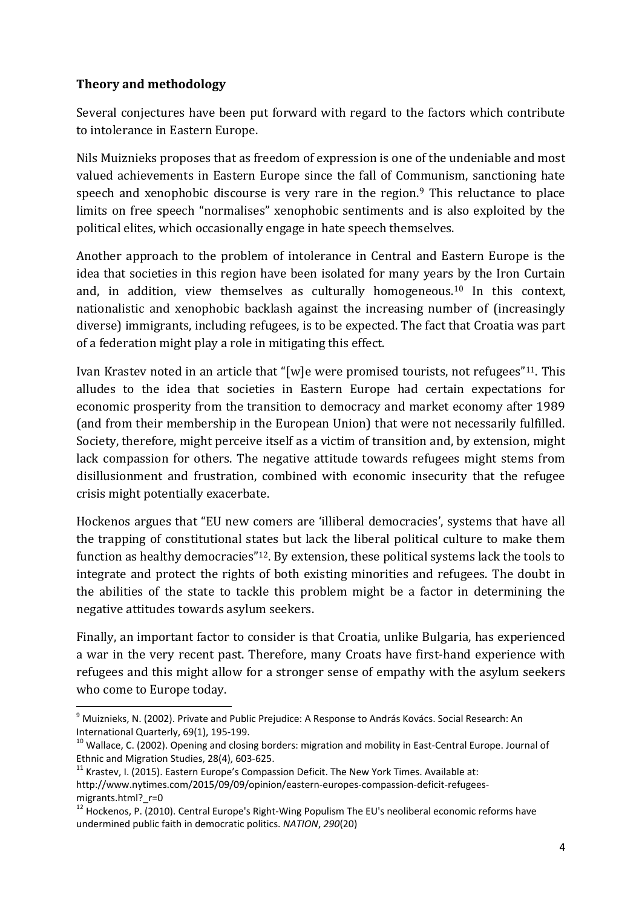### **Theory and methodology**

**.** 

Several conjectures have been put forward with regard to the factors which contribute to intolerance in Eastern Europe.

Nils Muiznieks proposes that as freedom of expression is one of the undeniable and most valued achievements in Eastern Europe since the fall of Communism, sanctioning hate speech and xenophobic discourse is very rare in the region.<sup>9</sup> This reluctance to place limits on free speech "normalises" xenophobic sentiments and is also exploited by the political elites, which occasionally engage in hate speech themselves.

Another approach to the problem of intolerance in Central and Eastern Europe is the idea that societies in this region have been isolated for many years by the Iron Curtain and, in addition, view themselves as culturally homogeneous.<sup>10</sup> In this context, nationalistic and xenophobic backlash against the increasing number of (increasingly diverse) immigrants, including refugees, is to be expected. The fact that Croatia was part of a federation might play a role in mitigating this effect.

Ivan Krastev noted in an article that "[w]e were promised tourists, not refugees"11. This alludes to the idea that societies in Eastern Europe had certain expectations for economic prosperity from the transition to democracy and market economy after 1989 (and from their membership in the European Union) that were not necessarily fulfilled. Society, therefore, might perceive itself as a victim of transition and, by extension, might lack compassion for others. The negative attitude towards refugees might stems from disillusionment and frustration, combined with economic insecurity that the refugee crisis might potentially exacerbate.

Hockenos argues that "EU new comers are 'illiberal democracies', systems that have all the trapping of constitutional states but lack the liberal political culture to make them function as healthy democracies"12. By extension, these political systems lack the tools to integrate and protect the rights of both existing minorities and refugees. The doubt in the abilities of the state to tackle this problem might be a factor in determining the negative attitudes towards asylum seekers.

Finally, an important factor to consider is that Croatia, unlike Bulgaria, has experienced a war in the very recent past. Therefore, many Croats have first-hand experience with refugees and this might allow for a stronger sense of empathy with the asylum seekers who come to Europe today.

<sup>&</sup>lt;sup>9</sup> Muiznieks, N. (2002). Private and Public Prejudice: A Response to András Kovács. Social Research: An International Quarterly, 69(1), 195-199.

<sup>&</sup>lt;sup>10</sup> Wallace, C. (2002). Opening and closing borders: migration and mobility in East-Central Europe. Journal of Ethnic and Migration Studies, 28(4), 603-625.

<sup>&</sup>lt;sup>11</sup> Krastev. I. (2015). Eastern Europe's Compassion Deficit. The New York Times. Available at:

http://www.nytimes.com/2015/09/09/opinion/eastern-europes-compassion-deficit-refugeesmigrants.html? r=0

<sup>&</sup>lt;sup>12</sup> Hockenos, P. (2010). Central Europe's Right-Wing Populism The EU's neoliberal economic reforms have undermined public faith in democratic politics. *NATION*, *290*(20)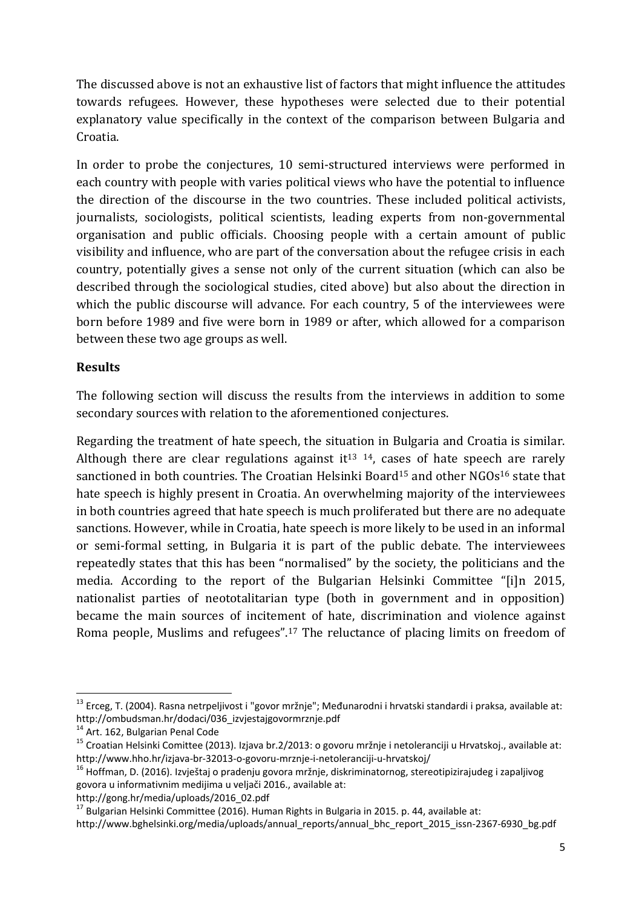The discussed above is not an exhaustive list of factors that might influence the attitudes towards refugees. However, these hypotheses were selected due to their potential explanatory value specifically in the context of the comparison between Bulgaria and Croatia.

In order to probe the conjectures, 10 semi-structured interviews were performed in each country with people with varies political views who have the potential to influence the direction of the discourse in the two countries. These included political activists, journalists, sociologists, political scientists, leading experts from non-governmental organisation and public officials. Choosing people with a certain amount of public visibility and influence, who are part of the conversation about the refugee crisis in each country, potentially gives a sense not only of the current situation (which can also be described through the sociological studies, cited above) but also about the direction in which the public discourse will advance. For each country, 5 of the interviewees were born before 1989 and five were born in 1989 or after, which allowed for a comparison between these two age groups as well.

# **Results**

The following section will discuss the results from the interviews in addition to some secondary sources with relation to the aforementioned conjectures.

Regarding the treatment of hate speech, the situation in Bulgaria and Croatia is similar. Although there are clear regulations against it<sup>13 14</sup>, cases of hate speech are rarely sanctioned in both countries. The Croatian Helsinki Board<sup>15</sup> and other NGOs<sup>16</sup> state that hate speech is highly present in Croatia. An overwhelming majority of the interviewees in both countries agreed that hate speech is much proliferated but there are no adequate sanctions. However, while in Croatia, hate speech is more likely to be used in an informal or semi-formal setting, in Bulgaria it is part of the public debate. The interviewees repeatedly states that this has been "normalised" by the society, the politicians and the media. According to the report of the Bulgarian Helsinki Committee "[i]n 2015, nationalist parties of neototalitarian type (both in government and in opposition) became the main sources of incitement of hate, discrimination and violence against Roma people, Muslims and refugees".<sup>17</sup> The reluctance of placing limits on freedom of

**.** 

http://gong.hr/media/uploads/2016\_02.pdf

<sup>&</sup>lt;sup>13</sup> Erceg, T. (2004). Rasna netrpeljivost i "govor mržnje"; Međunarodni i hrvatski standardi i praksa, available at: http://ombudsman.hr/dodaci/036\_izvjestajgovormrznje.pdf

<sup>14</sup> Art. 162, Bulgarian Penal Code

<sup>&</sup>lt;sup>15</sup> Croatian Helsinki Comittee (2013). Izjava br.2/2013: o govoru mržnje i netoleranciji u Hrvatskoj., available at: http://www.hho.hr/izjava-br-32013-o-govoru-mrznje-i-netoleranciji-u-hrvatskoj/

<sup>&</sup>lt;sup>16</sup> Hoffman, D. (2016). Izvještaj o pradenju govora mržnje, diskriminatornog, stereotipizirajudeg i zapaljivog govora u informativnim medijima u veljači 2016., available at:

 $17$  Bulgarian Helsinki Committee (2016). Human Rights in Bulgaria in 2015. p. 44, available at:

http://www.bghelsinki.org/media/uploads/annual\_reports/annual\_bhc\_report\_2015\_issn-2367-6930\_bg.pdf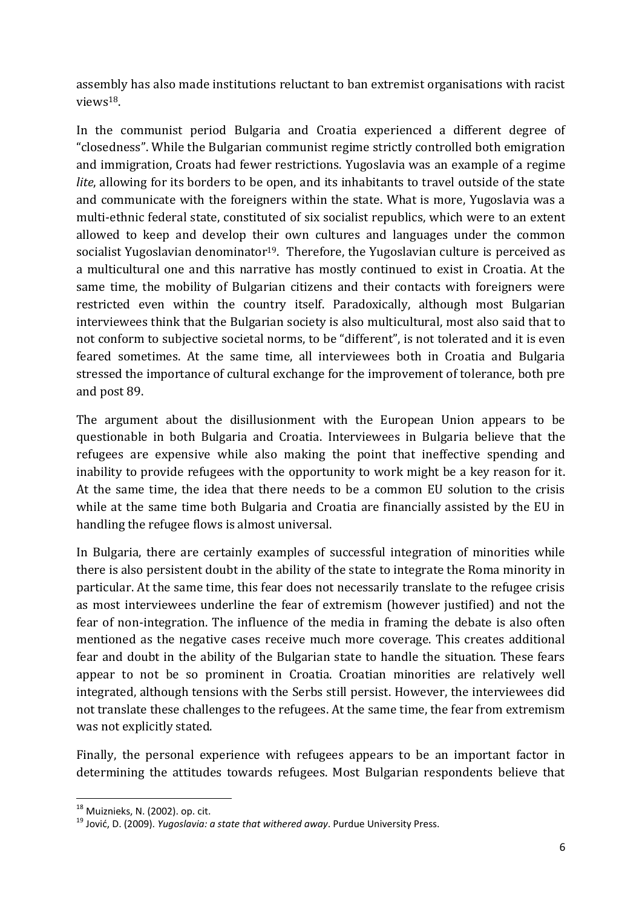assembly has also made institutions reluctant to ban extremist organisations with racist views18.

In the communist period Bulgaria and Croatia experienced a different degree of "closedness". While the Bulgarian communist regime strictly controlled both emigration and immigration, Croats had fewer restrictions. Yugoslavia was an example of a regime *lite*, allowing for its borders to be open, and its inhabitants to travel outside of the state and communicate with the foreigners within the state. What is more, Yugoslavia was a multi-ethnic federal state, constituted of six socialist republics, which were to an extent allowed to keep and develop their own cultures and languages under the common socialist Yugoslavian denominator<sup>19</sup>. Therefore, the Yugoslavian culture is perceived as a multicultural one and this narrative has mostly continued to exist in Croatia. At the same time, the mobility of Bulgarian citizens and their contacts with foreigners were restricted even within the country itself. Paradoxically, although most Bulgarian interviewees think that the Bulgarian society is also multicultural, most also said that to not conform to subjective societal norms, to be "different", is not tolerated and it is even feared sometimes. At the same time, all interviewees both in Croatia and Bulgaria stressed the importance of cultural exchange for the improvement of tolerance, both pre and post 89.

The argument about the disillusionment with the European Union appears to be questionable in both Bulgaria and Croatia. Interviewees in Bulgaria believe that the refugees are expensive while also making the point that ineffective spending and inability to provide refugees with the opportunity to work might be a key reason for it. At the same time, the idea that there needs to be a common EU solution to the crisis while at the same time both Bulgaria and Croatia are financially assisted by the EU in handling the refugee flows is almost universal.

In Bulgaria, there are certainly examples of successful integration of minorities while there is also persistent doubt in the ability of the state to integrate the Roma minority in particular. At the same time, this fear does not necessarily translate to the refugee crisis as most interviewees underline the fear of extremism (however justified) and not the fear of non-integration. The influence of the media in framing the debate is also often mentioned as the negative cases receive much more coverage. This creates additional fear and doubt in the ability of the Bulgarian state to handle the situation. These fears appear to not be so prominent in Croatia. Croatian minorities are relatively well integrated, although tensions with the Serbs still persist. However, the interviewees did not translate these challenges to the refugees. At the same time, the fear from extremism was not explicitly stated.

Finally, the personal experience with refugees appears to be an important factor in determining the attitudes towards refugees. Most Bulgarian respondents believe that

**.** 

 $18$  Muiznieks, N. (2002). op. cit.

<sup>19</sup> Jović, D. (2009). *Yugoslavia: a state that withered away*. Purdue University Press.